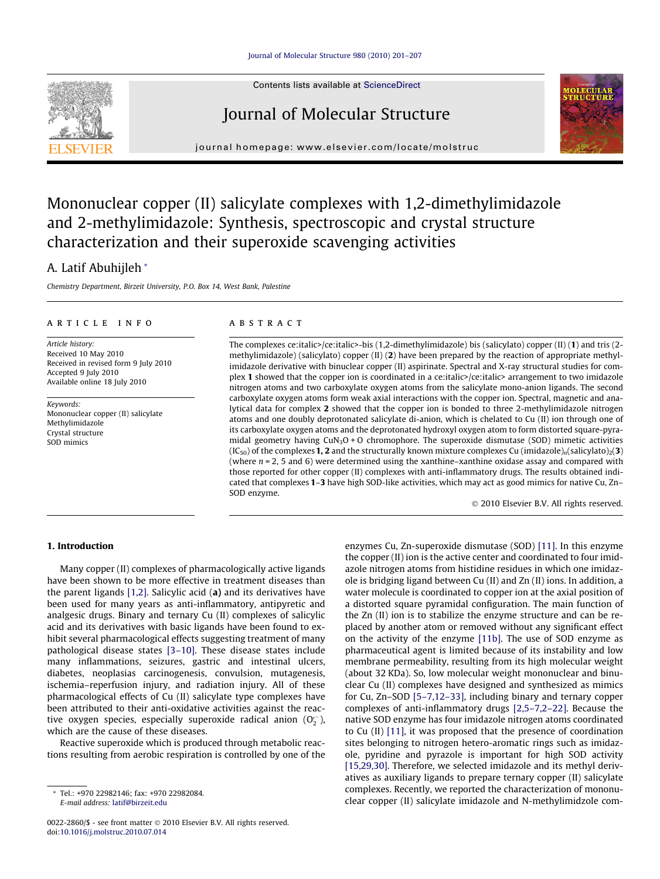## [Journal of Molecular Structure 980 \(2010\) 201–207](http://dx.doi.org/10.1016/j.molstruc.2010.07.014)



Contents lists available at [ScienceDirect](http://www.sciencedirect.com/science/journal/00222860)

## Journal of Molecular Structure





# Mononuclear copper (II) salicylate complexes with 1,2-dimethylimidazole and 2-methylimidazole: Synthesis, spectroscopic and crystal structure characterization and their superoxide scavenging activities

## A. Latif Abuhijleh \*

Chemistry Department, Birzeit University, P.O. Box 14, West Bank, Palestine

## article info

Article history: Received 10 May 2010 Received in revised form 9 July 2010 Accepted 9 July 2010 Available online 18 July 2010

Keywords: Mononuclear copper (II) salicylate Methylimidazole Crystal structure SOD mimics

#### **ABSTRACT**

The complexes ce:italic>/ce:italic>-bis (1,2-dimethylimidazole) bis (salicylato) copper (II) (1) and tris (2 methylimidazole) (salicylato) copper (II) (2) have been prepared by the reaction of appropriate methylimidazole derivative with binuclear copper (II) aspirinate. Spectral and X-ray structural studies for complex 1 showed that the copper ion is coordinated in a ce:italic>/ce:italic> arrangement to two imidazole nitrogen atoms and two carboxylate oxygen atoms from the salicylate mono-anion ligands. The second carboxylate oxygen atoms form weak axial interactions with the copper ion. Spectral, magnetic and analytical data for complex 2 showed that the copper ion is bonded to three 2-methylimidazole nitrogen atoms and one doubly deprotonated salicylate di-anion, which is chelated to Cu (II) ion through one of its carboxylate oxygen atoms and the deprotonated hydroxyl oxygen atom to form distorted square-pyramidal geometry having  $CuN<sub>3</sub>O + O$  chromophore. The superoxide dismutase (SOD) mimetic activities  $(IC_{50})$  of the complexes 1, 2 and the structurally known mixture complexes Cu (imidazole)<sub>n</sub>(salicylato)<sub>2</sub>(3) (where  $n = 2$ , 5 and 6) were determined using the xanthine–xanthine oxidase assay and compared with those reported for other copper (II) complexes with anti-inflammatory drugs. The results obtained indicated that complexes 1–3 have high SOD-like activities, which may act as good mimics for native Cu, Zn– SOD enzyme.

- 2010 Elsevier B.V. All rights reserved.

## 1. Introduction

Many copper (II) complexes of pharmacologically active ligands have been shown to be more effective in treatment diseases than the parent ligands  $[1,2]$ . Salicylic acid  $(a)$  and its derivatives have been used for many years as anti-inflammatory, antipyretic and analgesic drugs. Binary and ternary Cu (II) complexes of salicylic acid and its derivatives with basic ligands have been found to exhibit several pharmacological effects suggesting treatment of many pathological disease states [\[3–10\].](#page-6-0) These disease states include many inflammations, seizures, gastric and intestinal ulcers, diabetes, neoplasias carcinogenesis, convulsion, mutagenesis, ischemia–reperfusion injury, and radiation injury. All of these pharmacological effects of Cu (II) salicylate type complexes have been attributed to their anti-oxidative activities against the reactive oxygen species, especially superoxide radical anion  $(O_2^-)$ , which are the cause of these diseases.

Reactive superoxide which is produced through metabolic reactions resulting from aerobic respiration is controlled by one of the

\* Tel.: +970 22982146; fax: +970 22982084. E-mail address: [latif@birzeit.edu](mailto:latif@birzeit.edu)

enzymes Cu, Zn-superoxide dismutase (SOD) [\[11\]](#page-6-0). In this enzyme the copper (II) ion is the active center and coordinated to four imidazole nitrogen atoms from histidine residues in which one imidazole is bridging ligand between Cu (II) and Zn (II) ions. In addition, a water molecule is coordinated to copper ion at the axial position of a distorted square pyramidal configuration. The main function of the Zn (II) ion is to stabilize the enzyme structure and can be replaced by another atom or removed without any significant effect on the activity of the enzyme [11b]. The use of SOD enzyme as pharmaceutical agent is limited because of its instability and low membrane permeability, resulting from its high molecular weight (about 32 KDa). So, low molecular weight mononuclear and binuclear Cu (II) complexes have designed and synthesized as mimics for Cu, Zn–SOD [\[5–7,12–33\],](#page-6-0) including binary and ternary copper complexes of anti-inflammatory drugs [\[2,5–7,2–22\]](#page-6-0). Because the native SOD enzyme has four imidazole nitrogen atoms coordinated to Cu (II) [\[11\],](#page-6-0) it was proposed that the presence of coordination sites belonging to nitrogen hetero-aromatic rings such as imidazole, pyridine and pyrazole is important for high SOD activity [\[15,29,30\].](#page-6-0) Therefore, we selected imidazole and its methyl derivatives as auxiliary ligands to prepare ternary copper (II) salicylate complexes. Recently, we reported the characterization of mononuclear copper (II) salicylate imidazole and N-methylimidzole com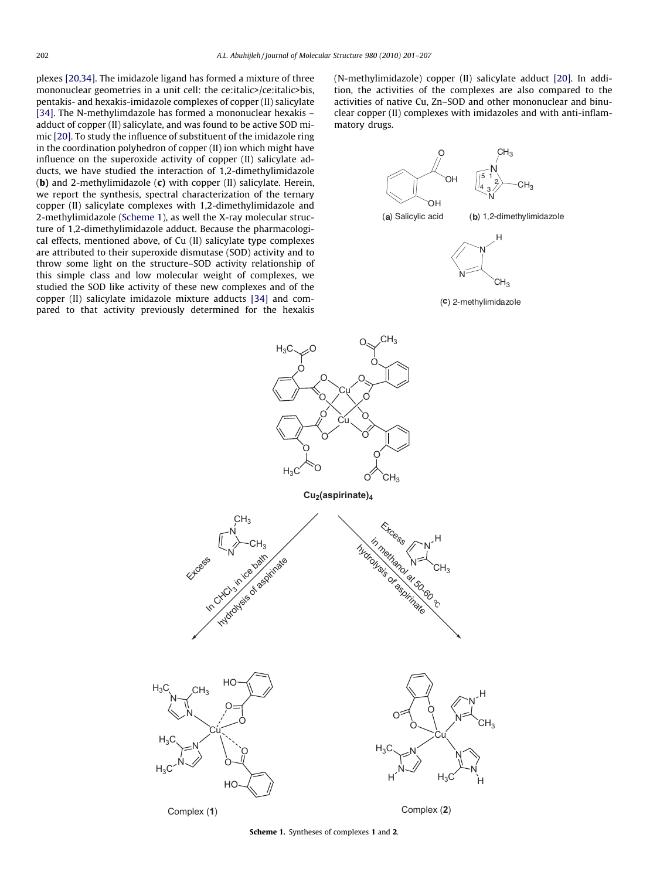<span id="page-1-0"></span>plexes [\[20,34\].](#page-6-0) The imidazole ligand has formed a mixture of three mononuclear geometries in a unit cell: the ce:italic>/ce:italic>bis, pentakis- and hexakis-imidazole complexes of copper (II) salicylate [\[34\]](#page-6-0). The N-methylimdazole has formed a mononuclear hexakis – adduct of copper (II) salicylate, and was found to be active SOD mimic [\[20\].](#page-6-0) To study the influence of substituent of the imidazole ring in the coordination polyhedron of copper (II) ion which might have influence on the superoxide activity of copper (II) salicylate adducts, we have studied the interaction of 1,2-dimethylimidazole (b) and 2-methylimidazole  $(c)$  with copper  $(II)$  salicylate. Herein, we report the synthesis, spectral characterization of the ternary copper (II) salicylate complexes with 1,2-dimethylimidazole and 2-methylimidazole (Scheme 1), as well the X-ray molecular structure of 1,2-dimethylimidazole adduct. Because the pharmacological effects, mentioned above, of Cu (II) salicylate type complexes are attributed to their superoxide dismutase (SOD) activity and to throw some light on the structure–SOD activity relationship of this simple class and low molecular weight of complexes, we studied the SOD like activity of these new complexes and of the copper (II) salicylate imidazole mixture adducts [\[34\]](#page-6-0) and compared to that activity previously determined for the hexakis

(N-methylimidazole) copper (II) salicylate adduct [\[20\]](#page-6-0). In addition, the activities of the complexes are also compared to the activities of native Cu, Zn–SOD and other mononuclear and binuclear copper (II) complexes with imidazoles and with anti-inflammatory drugs.









Scheme 1. Syntheses of complexes 1 and 2.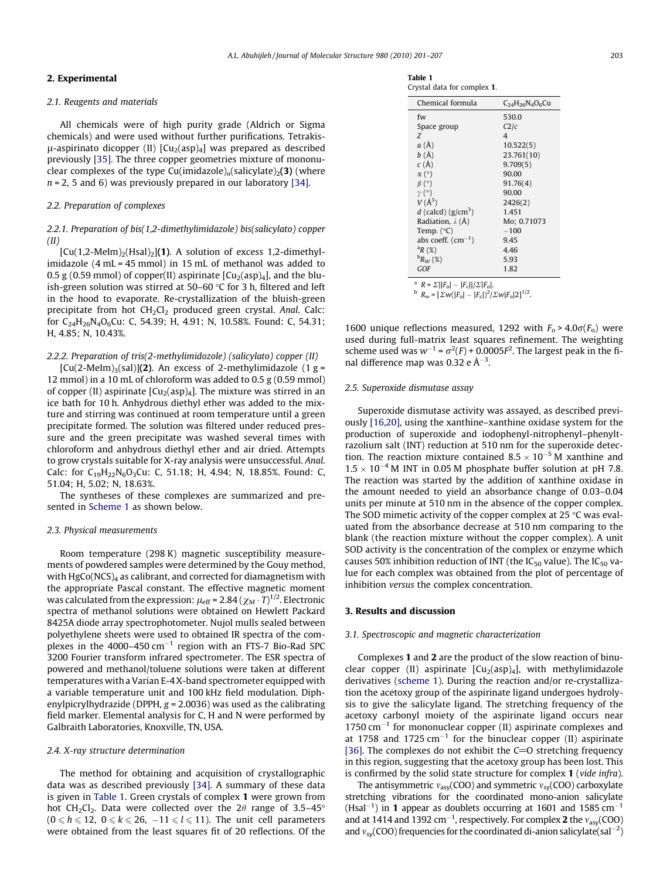#### 2. Experimental

#### 2.1. Reagents and materials

All chemicals were of high purity grade (Aldrich or Sigma chemicals) and were used without further purifications. Tetrakis- $\mu$ -aspirinato dicopper (II)  $\left[\text{Cu}_2(\text{asp})_4\right]$  was prepared as described previously [\[35\]](#page-6-0). The three copper geometries mixture of mononuclear complexes of the type Cu(imidazole)<sub>n</sub>(salicylate)<sub>2</sub>(3) (where  $n = 2$ , 5 and 6) was previously prepared in our laboratory [\[34\].](#page-6-0)

## 2.2. Preparation of complexes

## 2.2.1. Preparation of bis(1,2-dimethylimidazole) bis(salicylato) copper (II)

 $[Cu(1,2-Melm)_{2}(Hsal)_{2}]$ (1). A solution of excess 1,2-dimethylimidazole (4 mL = 45 mmol) in 15 mL of methanol was added to 0.5 g (0.59 mmol) of copper(II) aspirinate  $\left[\text{Cu}_{2}\right]$  (asp)<sub>4</sub>, and the bluish-green solution was stirred at 50–60  $\degree$ C for 3 h, filtered and left in the hood to evaporate. Re-crystallization of the bluish-green precipitate from hot  $CH_2Cl_2$  produced green crystal. Anal. Calc: for C<sub>24</sub>H<sub>26</sub>N<sub>4</sub>O<sub>6</sub>Cu: C, 54.39; H, 4.91; N, 10.58%. Found: C, 54.31; H, 4.85; N, 10.43%.

## 2.2.2. Preparation of tris(2-methylimidozole) (salicylato) copper (II)

 $[Cu(2-Melm)_{3}(sal)](2)$ . An excess of 2-methylimidazole (1 g = 12 mmol) in a 10 mL of chloroform was added to 0.5 g (0.59 mmol) of copper (II) aspirinate  $\left[\text{Cu}_2(\text{asp})_4\right]$ . The mixture was stirred in an ice bath for 10 h. Anhydrous diethyl ether was added to the mixture and stirring was continued at room temperature until a green precipitate formed. The solution was filtered under reduced pressure and the green precipitate was washed several times with chloroform and anhydrous diethyl ether and air dried. Attempts to grow crystals suitable for X-ray analysis were unsuccessful. Anal. Calc: for  $C_{19}H_{22}N_6O_3Cu$ : C, 51.18; H, 4.94; N, 18.85%. Found: C, 51.04; H, 5.02; N, 18.63%.

The syntheses of these complexes are summarized and presented in [Scheme 1](#page-1-0) as shown below.

#### 2.3. Physical measurements

Room temperature (298 K) magnetic susceptibility measurements of powdered samples were determined by the Gouy method, with  $HgCo(NCS)<sub>4</sub>$  as calibrant, and corrected for diamagnetism with the appropriate Pascal constant. The effective magnetic moment was calculated from the expression:  $\mu_\mathrm{eff}$  = 2.84 (  $\chi_M$   $\cdot$   $T)^{1/2}.$  Electronic spectra of methanol solutions were obtained on Hewlett Packard 8425A diode array spectrophotometer. Nujol mulls sealed between polyethylene sheets were used to obtained IR spectra of the complexes in the 4000–450  $cm^{-1}$  region with an FTS-7 Bio-Rad SPC 3200 Fourier transform infrared spectrometer. The ESR spectra of powered and methanol/toluene solutions were taken at different temperatures with a Varian E-4 X-band spectrometer equipped with a variable temperature unit and 100 kHz field modulation. Diphenylpicrylhydrazide (DPPH,  $g = 2.0036$ ) was used as the calibrating field marker. Elemental analysis for C, H and N were performed by Galbraith Laboratories, Knoxville, TN, USA.

### 2.4. X-ray structure determination

The method for obtaining and acquisition of crystallographic data was as described previously [\[34\].](#page-6-0) A summary of these data is given in Table 1. Green crystals of complex 1 were grown from hot CH<sub>2</sub>Cl<sub>2</sub>. Data were collected over the 2 $\theta$  range of 3.5–45°  $(0 \le h \le 12, 0 \le k \le 26, -11 \le l \le 11)$ . The unit cell parameters were obtained from the least squares fit of 20 reflections. Of the

Table 1 Crystal data for complex 1.

| Chemical formula                                                                                                                        | $C_{24}H_{26}N_{4}O_{6}Cu$ |  |
|-----------------------------------------------------------------------------------------------------------------------------------------|----------------------------|--|
| fw                                                                                                                                      | 530.0                      |  |
| Space group                                                                                                                             | C2/c                       |  |
| Z                                                                                                                                       | 4                          |  |
| a(A)                                                                                                                                    | 10.522(5)                  |  |
| b(A)                                                                                                                                    | 23.761(10)                 |  |
| c(A)                                                                                                                                    | 9,709(5)                   |  |
| $\alpha$ (°)                                                                                                                            | 90.00                      |  |
| $\beta$ (°)                                                                                                                             | 91.76(4)                   |  |
| $\gamma$ (°)                                                                                                                            | 90.00                      |  |
| $V(\AA^3)$                                                                                                                              | 2426(2)                    |  |
| d (calcd) $(g/cm^3)$                                                                                                                    | 1.451                      |  |
| Radiation, $\lambda$ (Å)                                                                                                                | Mo; 0.71073                |  |
| Temp. $(^{\circ}C)$                                                                                                                     | $-100$                     |  |
| abs coeff. $(cm-1)$                                                                                                                     | 9.45                       |  |
| ${}^{\text{a}}R$ (%)                                                                                                                    | 4.46                       |  |
| $R_W$ (%)                                                                                                                               | 5.93                       |  |
| GOF                                                                                                                                     | 1.82                       |  |
| <sup>a</sup> $R = \sum   F_{o}  -  F_{c}  /\sum  F_{o} $ .<br>$B_{w} = \left[\Sigma w( F_o  -  F_c )^2 / \Sigma w  F_o  \right]^{1/2}.$ |                            |  |

1600 unique reflections measured, 1292 with  $F_0 > 4.0\sigma(F_0)$  were used during full-matrix least squares refinement. The weighting scheme used was  $w^{-1} = \sigma^2(F) + 0.0005F^2$ . The largest peak in the final difference map was 0.32 e  $\AA^{-3}$ .

### 2.5. Superoxide dismutase assay

Superoxide dismutase activity was assayed, as described previously [\[16,20\],](#page-6-0) using the xanthine–xanthine oxidase system for the production of superoxide and iodophenyl-nitrophenyl–phenyltrazolium salt (INT) reduction at 510 nm for the superoxide detection. The reaction mixture contained  $8.5 \times 10^{-5}$  M xanthine and  $1.5 \times 10^{-4}$  M INT in 0.05 M phosphate buffer solution at pH 7.8. The reaction was started by the addition of xanthine oxidase in the amount needed to yield an absorbance change of 0.03–0.04 units per minute at 510 nm in the absence of the copper complex. The SOD mimetic activity of the copper complex at 25  $\degree$ C was evaluated from the absorbance decrease at 510 nm comparing to the blank (the reaction mixture without the copper complex). A unit SOD activity is the concentration of the complex or enzyme which causes 50% inhibition reduction of INT (the IC<sub>50</sub> value). The IC<sub>50</sub> value for each complex was obtained from the plot of percentage of inhibition versus the complex concentration.

## 3. Results and discussion

#### 3.1. Spectroscopic and magnetic characterization

Complexes 1 and 2 are the product of the slow reaction of binuclear copper (II) aspirinate  $[Cu<sub>2</sub>(asp)<sub>4</sub>]$ , with methylimidazole derivatives [\(scheme 1\)](#page-1-0). During the reaction and/or re-crystallization the acetoxy group of the aspirinate ligand undergoes hydrolysis to give the salicylate ligand. The stretching frequency of the acetoxy carbonyl moiety of the aspirinate ligand occurs near  $1750 \text{ cm}^{-1}$  for mononuclear copper (II) aspirinate complexes and at 1758 and 1725  $cm^{-1}$  for the binuclear copper (II) aspirinate [\[36\]](#page-6-0). The complexes do not exhibit the  $C=O$  stretching frequency in this region, suggesting that the acetoxy group has been lost. This is confirmed by the solid state structure for complex 1 (vide infra).

The antisymmetric  $v_{asy}(COO)$  and symmetric  $v_{sy}(COO)$  carboxylate stretching vibrations for the coordinated mono-anion salicylate (Hsal<sup>-1</sup>) in 1 appear as doublets occurring at 1601 and 1585 cm<sup>-1</sup> and at 1414 and 1392 cm<sup>-1</sup>, respectively. For complex **2** the  $v_{asy}(COO)$ and  $v_{sy}$ (COO) frequencies for the coordinated di-anion salicylate(sal<sup>-2</sup>)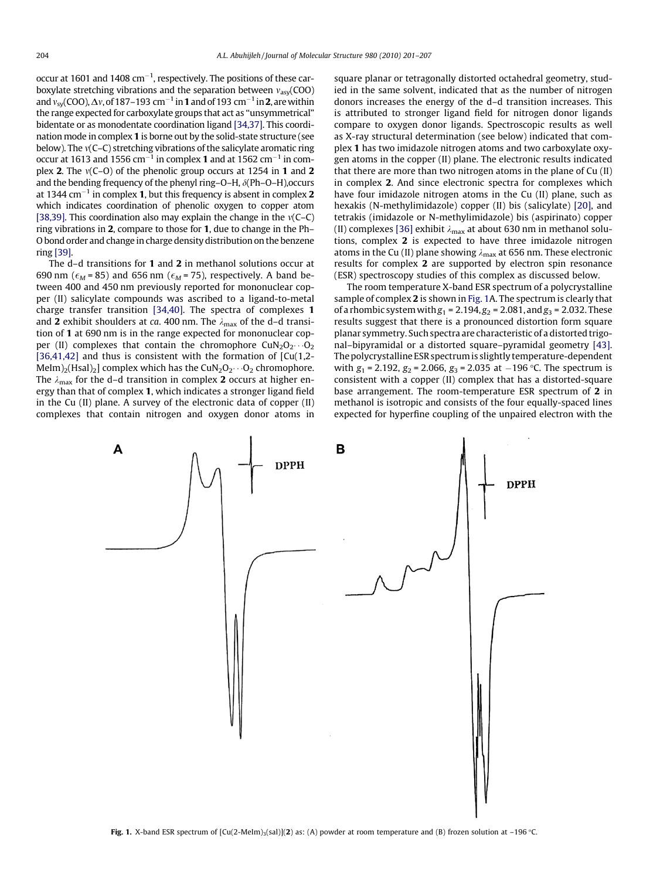<span id="page-3-0"></span>occur at 1601 and 1408 cm $^{-1}$ , respectively. The positions of these carboxylate stretching vibrations and the separation between  $v_{\text{av}}(COO)$ and  $v_{\rm sy}$ (COO),  $\Delta v$ , of 187–193 cm $^{-1}$  in **1** and of 193 cm $^{-1}$  in **2**, are within the range expected for carboxylate groups that act as ''unsymmetrical" bidentate or as monodentate coordination ligand [\[34,37\].](#page-6-0) This coordination mode in complex 1 is borne out by the solid-state structure (see below). The  $v(C-C)$  stretching vibrations of the salicylate aromatic ring occur at 1613 and 1556 cm $^{-1}$  in complex **1** and at 1562 cm $^{-1}$  in complex 2. The  $v(C-O)$  of the phenolic group occurs at 1254 in 1 and 2 and the bending frequency of the phenyl ring–O–H,  $\delta$ (Ph–O–H), occurs at 1344 cm $^{-1}$  in complex **1**, but this frequency is absent in complex  $\boldsymbol{2}$ which indicates coordination of phenolic oxygen to copper atom [\[38,39\]](#page-6-0). This coordination also may explain the change in the  $v(C-C)$ ] ring vibrations in 2, compare to those for 1, due to change in the Ph– O bond order and change in charge density distribution on the benzene ring [\[39\]](#page-6-0).

The d–d transitions for 1 and 2 in methanol solutions occur at 690 nm ( $\epsilon_M$  = 85) and 656 nm ( $\epsilon_M$  = 75), respectively. A band between 400 and 450 nm previously reported for mononuclear copper (II) salicylate compounds was ascribed to a ligand-to-metal charge transfer transition [\[34,40\].](#page-6-0) The spectra of complexes 1 and 2 exhibit shoulders at ca. 400 nm. The  $\lambda_{\text{max}}$  of the d–d transition of 1 at 690 nm is in the range expected for mononuclear copper (II) complexes that contain the chromophore  $CuN<sub>2</sub>O<sub>2</sub>...O<sub>2</sub>$ [\[36,41,42\]](#page-6-0) and thus is consistent with the formation of  $\lceil Cu(1,2-$ MeIm)<sub>2</sub>(Hsal)<sub>2</sub>] complex which has the CuN<sub>2</sub>O<sub>2</sub> $\cdots$ O<sub>2</sub> chromophore. The  $\lambda_{\text{max}}$  for the d–d transition in complex 2 occurs at higher energy than that of complex 1, which indicates a stronger ligand field in the Cu (II) plane. A survey of the electronic data of copper (II) complexes that contain nitrogen and oxygen donor atoms in square planar or tetragonally distorted octahedral geometry, studied in the same solvent, indicated that as the number of nitrogen donors increases the energy of the d–d transition increases. This is attributed to stronger ligand field for nitrogen donor ligands compare to oxygen donor ligands. Spectroscopic results as well as X-ray structural determination (see below) indicated that complex 1 has two imidazole nitrogen atoms and two carboxylate oxygen atoms in the copper (II) plane. The electronic results indicated that there are more than two nitrogen atoms in the plane of Cu (II) in complex 2. And since electronic spectra for complexes which have four imidazole nitrogen atoms in the Cu (II) plane, such as hexakis (N-methylimidazole) copper (II) bis (salicylate) [\[20\],](#page-6-0) and tetrakis (imidazole or N-methylimidazole) bis (aspirinato) copper (II) complexes [\[36\]](#page-6-0) exhibit  $\lambda_{\text{max}}$  at about 630 nm in methanol solutions, complex 2 is expected to have three imidazole nitrogen atoms in the Cu (II) plane showing  $\lambda_{\text{max}}$  at 656 nm. These electronic results for complex 2 are supported by electron spin resonance (ESR) spectroscopy studies of this complex as discussed below.

The room temperature X-band ESR spectrum of a polycrystalline sample of complex 2 is shown in Fig. 1A. The spectrum is clearly that of a rhombic system with  $g_1 = 2.194$ ,  $g_2 = 2.081$ , and  $g_3 = 2.032$ . These results suggest that there is a pronounced distortion form square planar symmetry. Such spectra are characteristic of a distorted trigonal–bipyramidal or a distorted square–pyramidal geometry [\[43\].](#page-6-0) The polycrystalline ESR spectrum is slightly temperature-dependent with  $g_1$  = 2.192,  $g_2$  = 2.066,  $g_3$  = 2.035 at  $-196$  °C. The spectrum is consistent with a copper (II) complex that has a distorted-square base arrangement. The room-temperature ESR spectrum of 2 in methanol is isotropic and consists of the four equally-spaced lines expected for hyperfine coupling of the unpaired electron with the

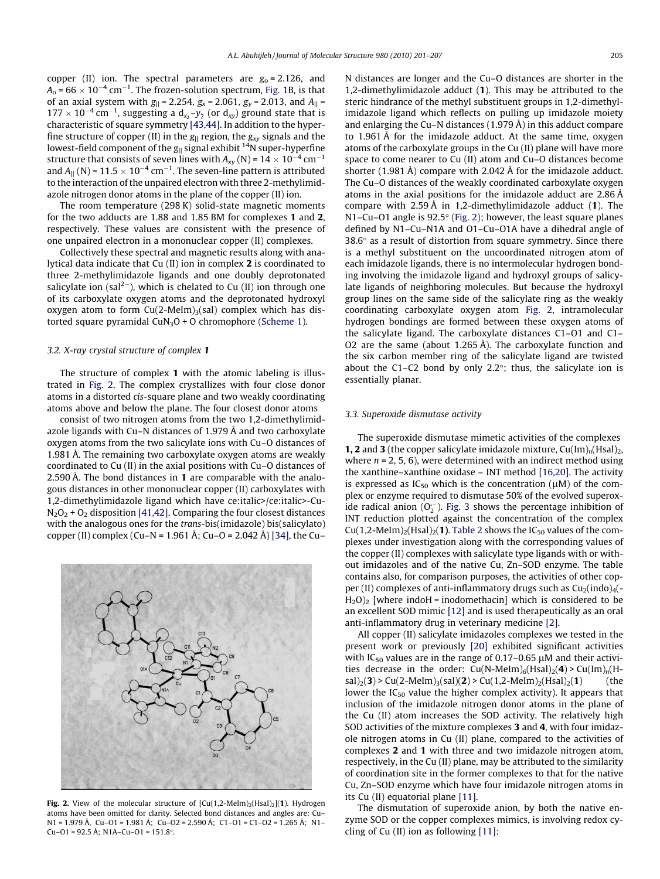copper (II) ion. The spectral parameters are  $g_0 = 2.126$ , and  $A_{\rm o}$  = 66  $\times$  10<sup>-4</sup> cm<sup>-1</sup>. The frozen-solution spectrum, [Fig. 1](#page-3-0)B, is that of an axial system with  $g_{\parallel} = 2.254$ ,  $g_x = 2.061$ ,  $g_y = 2.013$ , and  $A_{\parallel} =$  $177 \times 10^{-4}$  cm<sup>-1</sup>, suggesting a  $d_{x_2}$ -y<sub>2</sub> (or  $d_{xy}$ ) ground state that is characteristic of square symmetry [\[43,44\]](#page-6-0). In addition to the hyperfine structure of copper (II) in the  $g_{||}$  region, the  $g_{xy}$  signals and the lowest-field component of the  $g_{\parallel}$  signal exhibit <sup>14</sup>N super-hyperfine structure that consists of seven lines with  $A_{xy}$  (N) = 14  $\times$  10<sup>-4</sup> cm<sup>-1</sup> and  $A_{||}$  (N) = 11.5  $\times$  10<sup>-4</sup> cm<sup>-1</sup>. The seven-line pattern is attributed to the interaction of the unpaired electron with three 2-methylimidazole nitrogen donor atoms in the plane of the copper (II) ion.

The room temperature (298 K) solid-state magnetic moments for the two adducts are 1.88 and 1.85 BM for complexes 1 and 2, respectively. These values are consistent with the presence of one unpaired electron in a mononuclear copper (II) complexes.

Collectively these spectral and magnetic results along with analytical data indicate that Cu (II) ion in complex 2 is coordinated to three 2-methylimidazole ligands and one doubly deprotonated salicylate ion (sal<sup>2-</sup>), which is chelated to Cu (II) ion through one of its carboxylate oxygen atoms and the deprotonated hydroxyl oxygen atom to form  $Cu(2-Melm)_{3}(sal)$  complex which has distorted square pyramidal  $CuN<sub>3</sub>O + O$  chromophore [\(Scheme 1\)](#page-1-0).

### 3.2. X-ray crystal structure of complex 1

The structure of complex 1 with the atomic labeling is illustrated in Fig. 2. The complex crystallizes with four close donor atoms in a distorted cis-square plane and two weakly coordinating atoms above and below the plane. The four closest donor atoms

consist of two nitrogen atoms from the two 1,2-dimethylimidazole ligands with Cu–N distances of 1.979 Å and two carboxylate oxygen atoms from the two salicylate ions with Cu–O distances of 1.981 Å. The remaining two carboxylate oxygen atoms are weakly coordinated to Cu (II) in the axial positions with Cu–O distances of 2.590 Å. The bond distances in 1 are comparable with the analogous distances in other mononuclear copper (II) carboxylates with 1,2-dimethylimidazole ligand which have ce:italic>/ce:italic>-Cu- $N_2O_2$  + O<sub>2</sub> disposition [\[41,42\].](#page-6-0) Comparing the four closest distances with the analogous ones for the trans-bis(imidazole) bis(salicylato) copper (II) complex (Cu–N = 1.961 Å; Cu–O = 2.042 Å) [\[34\],](#page-6-0) the Cu–



Fig. 2. View of the molecular structure of  $[Cu(1,2-Melm)_{2}(Hsal)_{2}](1)$ . Hydrogen atoms have been omitted for clarity. Selected bond distances and angles are: Cu– N1 = 1.979 Å, Cu–O1 = 1.981 Å; Cu–O2 = 2.590 Å; C1–O1 = C1–O2 = 1.265 Å; N1– Cu–O1 = 92.5 Å; N1A–Cu–O1 = 151.8°.

N distances are longer and the Cu–O distances are shorter in the 1,2-dimethylimidazole adduct (1). This may be attributed to the steric hindrance of the methyl substituent groups in 1,2-dimethylimidazole ligand which reflects on pulling up imidazole moiety and enlarging the Cu–N distances (1.979 Å) in this adduct compare to 1.961 Å for the imidazole adduct. At the same time, oxygen atoms of the carboxylate groups in the Cu (II) plane will have more space to come nearer to Cu (II) atom and Cu–O distances become shorter (1.981 Å) compare with 2.042 Å for the imidazole adduct. The Cu–O distances of the weakly coordinated carboxylate oxygen atoms in the axial positions for the imidazole adduct are 2.86 Å compare with 2.59 Å in 1,2-dimethylimidazole adduct (1). The N1–Cu–O1 angle is  $92.5^{\circ}$  (Fig. 2); however, the least square planes defined by N1–Cu–N1A and O1–Cu–O1A have a dihedral angle of  $38.6^\circ$  as a result of distortion from square symmetry. Since there is a methyl substituent on the uncoordinated nitrogen atom of each imidazole ligands, there is no intermolecular hydrogen bonding involving the imidazole ligand and hydroxyl groups of salicylate ligands of neighboring molecules. But because the hydroxyl group lines on the same side of the salicylate ring as the weakly coordinating carboxylate oxygen atom Fig. 2, intramolecular hydrogen bondings are formed between these oxygen atoms of the salicylate ligand. The carboxylate distances C1–O1 and C1– O2 are the same (about 1.265 Å). The carboxylate function and the six carbon member ring of the salicylate ligand are twisted about the C1–C2 bond by only  $2.2^{\circ}$ ; thus, the salicylate ion is essentially planar.

#### 3.3. Superoxide dismutase activity

The superoxide dismutase mimetic activities of the complexes **1, 2** and **3** (the copper salicylate imidazole mixture,  $Cu(Im)_{n}(Hsal)_{2}$ , where  $n = 2, 5, 6$ ), were determined with an indirect method using the xanthine–xanthine oxidase – INT method [\[16,20\]](#page-6-0). The activity is expressed as  $IC_{50}$  which is the concentration ( $\mu$ M) of the complex or enzyme required to dismutase 50% of the evolved superoxide radical anion  $(O_2^-)$ . [Fig. 3](#page-5-0) shows the percentage inhibition of INT reduction plotted against the concentration of the complex Cu(1,2-MeIm)<sub>2</sub>(Hsal)<sub>2</sub>(1). [Table 2](#page-5-0) shows the IC<sub>50</sub> values of the complexes under investigation along with the corresponding values of the copper (II) complexes with salicylate type ligands with or without imidazoles and of the native Cu, Zn–SOD enzyme. The table contains also, for comparison purposes, the activities of other copper (II) complexes of anti-inflammatory drugs such as  $Cu<sub>2</sub>(indo)<sub>4</sub>( H<sub>2</sub>O<sub>2</sub>$  [where indoH = inodomethacin] which is considered to be an excellent SOD mimic [\[12\]](#page-6-0) and is used therapeutically as an oral anti-inflammatory drug in veterinary medicine [\[2\].](#page-6-0)

All copper (II) salicylate imidazoles complexes we tested in the present work or previously [\[20\]](#page-6-0) exhibited significant activities with IC<sub>50</sub> values are in the range of 0.17–0.65  $\mu$ M and their activities decrease in the order:  $Cu(N-Melm)_{6}(Hsal)_{2}(4) > Cu(Im)_{n}(H \text{sal}|_2(3)$  > Cu(2-MeIm)<sub>3</sub>(sal)(2) > Cu(1,2-MeIm)<sub>2</sub>(Hsal)<sub>2</sub>(1) (the lower the IC<sub>50</sub> value the higher complex activity). It appears that inclusion of the imidazole nitrogen donor atoms in the plane of the Cu (II) atom increases the SOD activity. The relatively high SOD activities of the mixture complexes 3 and 4, with four imidazole nitrogen atoms in Cu (II) plane, compared to the activities of complexes 2 and 1 with three and two imidazole nitrogen atom, respectively, in the Cu (II) plane, may be attributed to the similarity of coordination site in the former complexes to that for the native Cu, Zn–SOD enzyme which have four imidazole nitrogen atoms in its Cu (II) equatorial plane [\[11\].](#page-6-0)

The dismutation of superoxide anion, by both the native enzyme SOD or the copper complexes mimics, is involving redox cycling of Cu (II) ion as following [\[11\]:](#page-6-0)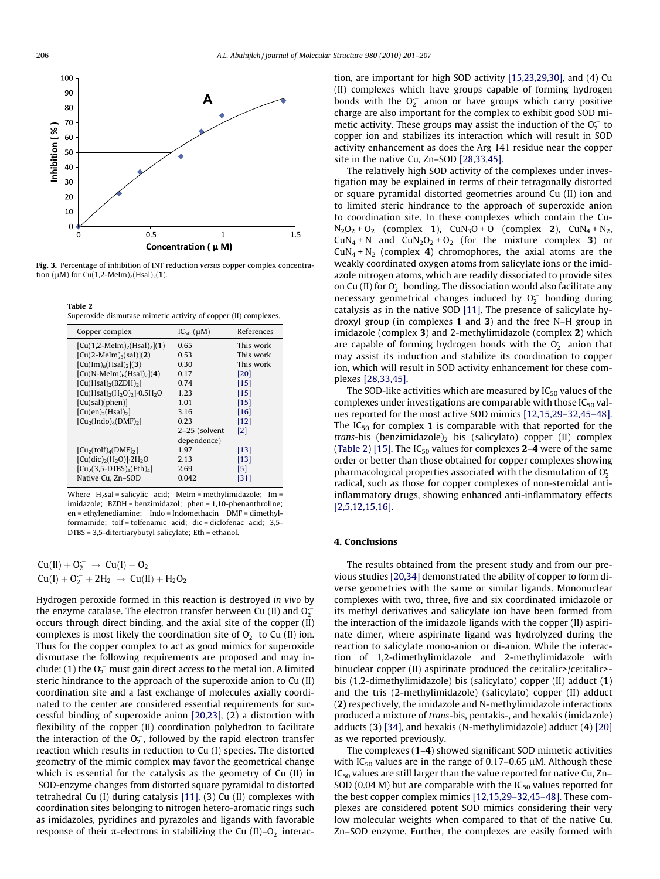<span id="page-5-0"></span>

Fig. 3. Percentage of inhibition of INT reduction versus copper complex concentration ( $\mu$ M) for Cu(1,2-MeIm)<sub>2</sub>(Hsal)<sub>2</sub>(1).

Table 2 Superoxide dismutase mimetic activity of copper (II) complexes.

| Copper complex                                    | $IC_{50}(\mu M)$ | References        |
|---------------------------------------------------|------------------|-------------------|
| $[Cu(1,2-Melm)_{2}(Hsal)_{2}](1)$                 | 0.65             | This work         |
| $[Cu(2-Melm)_{3}(sal)](2)$                        | 0.53             | This work         |
| $[Cu(Im)_{n}(Hsal)_{2}](3)$                       | 0.30             | This work         |
| $[Cu(N-Melm)6(Hsal)2](4)$                         | 0.17             | [20]              |
| $[Cu(Hsal)_{2}(BZDH)_{2}]$                        | 0.74             | $[15]$            |
| $[Cu(Hsal)_{2}(H_{2}O)_{2}]$ -0.5H <sub>2</sub> O | 1.23             | $[15]$            |
| [Cu(sal)(phen)]                                   | 1.01             | $[15]$            |
| $[Cu(en)_2(Hsal)_2]$                              | 3.16             | [16]              |
| $[Cu2(Indo)4(DMF)2]$                              | 0.23             | [12]              |
|                                                   | 2-25 (solvent    | $\lceil 2 \rceil$ |
|                                                   | dependence)      |                   |
| $[Cu2(tolf)4(DMF)2]$                              | 1.97             | $[13]$            |
| $[Cu(dic)2(H2O)]$ 2H <sub>2</sub> O               | 2.13             | [13]              |
| $[Cu2(3,5-DTBS)4(Eth)4]$                          | 2.69             | [5]               |
| Native Cu, Zn-SOD                                 | 0.042            | [31]              |

Where  $H_2$ sal = salicylic acid; MeIm = methylimidazole; Im = imidazole; BZDH = benzimidazol; phen = 1,10-phenanthroline; en = ethylenediamine; Indo = Indomethacin DMF = dimethylformamide; tolf = tolfenamic acid; dic = diclofenac acid; 3,5- DTBS = 3,5-ditertiarybutyl salicylate; Eth = ethanol.

$$
\begin{array}{l} Cu(II) + O_2^- \rightarrow \; Cu(I) + O_2 \\ Cu(I) + O_2^- + 2H_2 \; \rightarrow \; Cu(II) + H_2O_2 \end{array}
$$

Hydrogen peroxide formed in this reaction is destroyed in vivo by the enzyme catalase. The electron transfer between Cu (II) and  $O_2^{\frac{1}{2}}$ occurs through direct binding, and the axial site of the copper (II) complexes is most likely the coordination site of  $O_2^-$  to Cu (II) ion. Thus for the copper complex to act as good mimics for superoxide dismutase the following requirements are proposed and may include: (1) the  $O_2^{\text{-}}$  must gain direct access to the metal ion. A limited steric hindrance to the approach of the superoxide anion to Cu (II) coordination site and a fast exchange of molecules axially coordinated to the center are considered essential requirements for successful binding of superoxide anion [\[20,23\]](#page-6-0), (2) a distortion with flexibility of the copper (II) coordination polyhedron to facilitate the interaction of the  $O_2^{\text{-}}$ , followed by the rapid electron transfer reaction which results in reduction to Cu (I) species. The distorted geometry of the mimic complex may favor the geometrical change which is essential for the catalysis as the geometry of Cu (II) in SOD-enzyme changes from distorted square pyramidal to distorted tetrahedral Cu (I) during catalysis [\[11\],](#page-6-0) (3) Cu (II) complexes with coordination sites belonging to nitrogen hetero-aromatic rings such as imidazoles, pyridines and pyrazoles and ligands with favorable response of their  $\pi$ -electrons in stabilizing the Cu (II)–O<sub>2</sub> interaction, are important for high SOD activity [\[15,23,29,30\],](#page-6-0) and (4) Cu (II) complexes which have groups capable of forming hydrogen bonds with the  $O_2^-$  anion or have groups which carry positive charge are also important for the complex to exhibit good SOD mimetic activity. These groups may assist the induction of the  $O_2^-$  to copper ion and stabilizes its interaction which will result in SOD activity enhancement as does the Arg 141 residue near the copper site in the native Cu, Zn–SOD [\[28,33,45\].](#page-6-0)

The relatively high SOD activity of the complexes under investigation may be explained in terms of their tetragonally distorted or square pyramidal distorted geometries around Cu (II) ion and to limited steric hindrance to the approach of superoxide anion to coordination site. In these complexes which contain the Cu- $N_2O_2 + O_2$  (complex 1), CuN<sub>3</sub>O + O (complex 2), CuN<sub>4</sub> + N<sub>2</sub>,  $CuN_4 + N$  and  $CuN_2O_2 + O_2$  (for the mixture complex 3) or  $CuN<sub>4</sub> + N<sub>2</sub>$  (complex 4) chromophores, the axial atoms are the weakly coordinated oxygen atoms from salicylate ions or the imidazole nitrogen atoms, which are readily dissociated to provide sites on Cu (II) for  $O_2^-$  bonding. The dissociation would also facilitate any necessary geometrical changes induced by  $O_2^-$  bonding during catalysis as in the native SOD [\[11\].](#page-6-0) The presence of salicylate hydroxyl group (in complexes 1 and 3) and the free N–H group in imidazole (complex 3) and 2-methylimidazole (complex 2) which are capable of forming hydrogen bonds with the  $O_2^-$  anion that may assist its induction and stabilize its coordination to copper ion, which will result in SOD activity enhancement for these complexes [\[28,33,45\].](#page-6-0)

The SOD-like activities which are measured by  $IC_{50}$  values of the complexes under investigations are comparable with those  $IC_{50}$  values reported for the most active SOD mimics [\[12,15,29–32,45–48\].](#page-6-0) The  $IC_{50}$  for complex 1 is comparable with that reported for the trans-bis (benzimidazole) $_2$  bis (salicylato) copper (II) complex (Table 2) [\[15\].](#page-6-0) The IC<sub>50</sub> values for complexes **2-4** were of the same order or better than those obtained for copper complexes showing pharmacological properties associated with the dismutation of  $O_2$ radical, such as those for copper complexes of non-steroidal antiinflammatory drugs, showing enhanced anti-inflammatory effects [\[2,5,12,15,16\]](#page-6-0).

## 4. Conclusions

The results obtained from the present study and from our previous studies [\[20,34\]](#page-6-0) demonstrated the ability of copper to form diverse geometries with the same or similar ligands. Mononuclear complexes with two, three, five and six coordinated imidazole or its methyl derivatives and salicylate ion have been formed from the interaction of the imidazole ligands with the copper (II) aspirinate dimer, where aspirinate ligand was hydrolyzed during the reaction to salicylate mono-anion or di-anion. While the interaction of 1,2-dimethylimidazole and 2-methylimidazole with binuclear copper (II) aspirinate produced the ce:italic>/ce:italic>bis (1,2-dimethylimidazole) bis (salicylato) copper (II) adduct (1) and the tris (2-methylimidazole) (salicylato) copper (II) adduct (2) respectively, the imidazole and N-methylimidazole interactions produced a mixture of trans-bis, pentakis-, and hexakis (imidazole) adducts (3) [\[34\]](#page-6-0), and hexakis (N-methylimidazole) adduct (4) [\[20\]](#page-6-0) as we reported previously.

The complexes (1–4) showed significant SOD mimetic activities with IC<sub>50</sub> values are in the range of 0.17–0.65  $\mu$ M. Although these IC50 values are still larger than the value reported for native Cu, Zn– SOD (0.04 M) but are comparable with the  $IC_{50}$  values reported for the best copper complex mimics [\[12,15,29–32,45–48\]](#page-6-0). These complexes are considered potent SOD mimics considering their very low molecular weights when compared to that of the native Cu, Zn–SOD enzyme. Further, the complexes are easily formed with